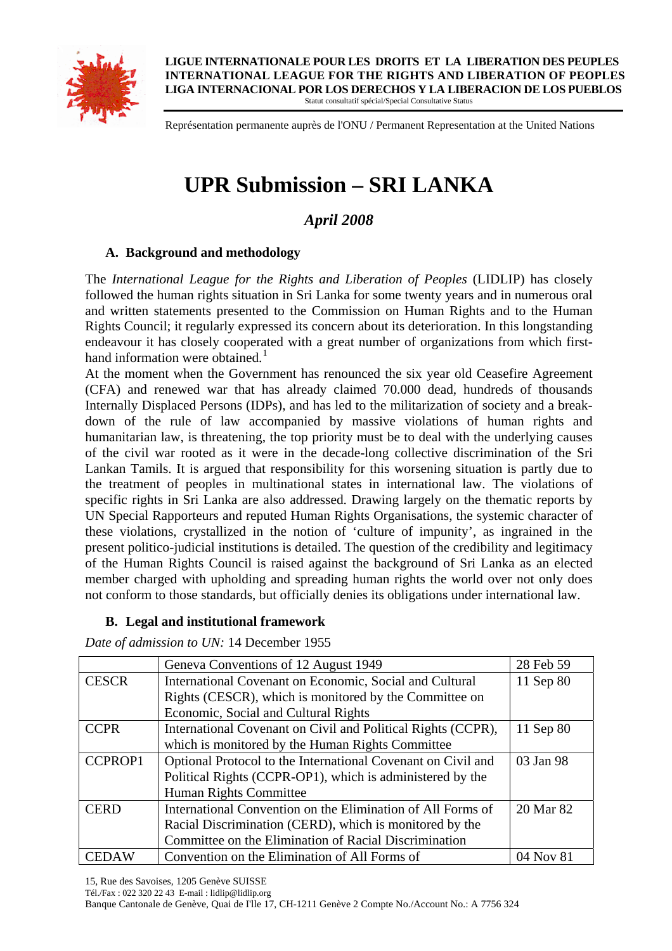

**LIGUE INTERNATIONALE POUR LES DROITS ET LA LIBERATION DES PEUPLES INTERNATIONAL LEAGUE FOR THE RIGHTS AND LIBERATION OF PEOPLES LIGA INTERNACIONAL POR LOS DERECHOS Y LA LIBERACION DE LOS PUEBLOS**  Statut consultatif spécial/Special Consultative Status

Représentation permanente auprès de l'ONU / Permanent Representation at the United Nations

# **UPR Submission – SRI LANKA**

# *April 2008*

# **A. Background and methodology**

The *International League for the Rights and Liberation of Peoples* (LIDLIP) has closely followed the human rights situation in Sri Lanka for some twenty years and in numerous oral and written statements presented to the Commission on Human Rights and to the Human Rights Council; it regularly expressed its concern about its deterioration. In this longstanding endeavour it has closely cooperated with a great number of organizations from which first-hand information were obtained.<sup>[1](#page-21-0)</sup>

At the moment when the Government has renounced the six year old Ceasefire Agreement (CFA) and renewed war that has already claimed 70.000 dead, hundreds of thousands Internally Displaced Persons (IDPs), and has led to the militarization of society and a breakdown of the rule of law accompanied by massive violations of human rights and humanitarian law, is threatening, the top priority must be to deal with the underlying causes of the civil war rooted as it were in the decade-long collective discrimination of the Sri Lankan Tamils. It is argued that responsibility for this worsening situation is partly due to the treatment of peoples in multinational states in international law. The violations of specific rights in Sri Lanka are also addressed. Drawing largely on the thematic reports by UN Special Rapporteurs and reputed Human Rights Organisations, the systemic character of these violations, crystallized in the notion of 'culture of impunity', as ingrained in the present politico-judicial institutions is detailed. The question of the credibility and legitimacy of the Human Rights Council is raised against the background of Sri Lanka as an elected member charged with upholding and spreading human rights the world over not only does not conform to those standards, but officially denies its obligations under international law.

### **B. Legal and institutional framework**

*Date of admission to UN:* 14 December 1955

|                | Geneva Conventions of 12 August 1949                         | 28 Feb 59 |
|----------------|--------------------------------------------------------------|-----------|
| <b>CESCR</b>   | International Covenant on Economic, Social and Cultural      | 11 Sep 80 |
|                | Rights (CESCR), which is monitored by the Committee on       |           |
|                | Economic, Social and Cultural Rights                         |           |
| <b>CCPR</b>    | International Covenant on Civil and Political Rights (CCPR), | 11 Sep 80 |
|                | which is monitored by the Human Rights Committee             |           |
| <b>CCPROP1</b> | Optional Protocol to the International Covenant on Civil and | 03 Jan 98 |
|                | Political Rights (CCPR-OP1), which is administered by the    |           |
|                | Human Rights Committee                                       |           |
| <b>CERD</b>    | International Convention on the Elimination of All Forms of  | 20 Mar 82 |
|                | Racial Discrimination (CERD), which is monitored by the      |           |
|                | Committee on the Elimination of Racial Discrimination        |           |
| <b>CEDAW</b>   | Convention on the Elimination of All Forms of                | 04 Nov 81 |

15, Rue des Savoises, 1205 Genève SUISSE

Tél./Fax : 022 320 22 43 E-mail : lidlip@lidlip.org

Banque Cantonale de Genève, Quai de I'lle 17, CH-1211 Genève 2 Compte No./Account No.: A 7756 324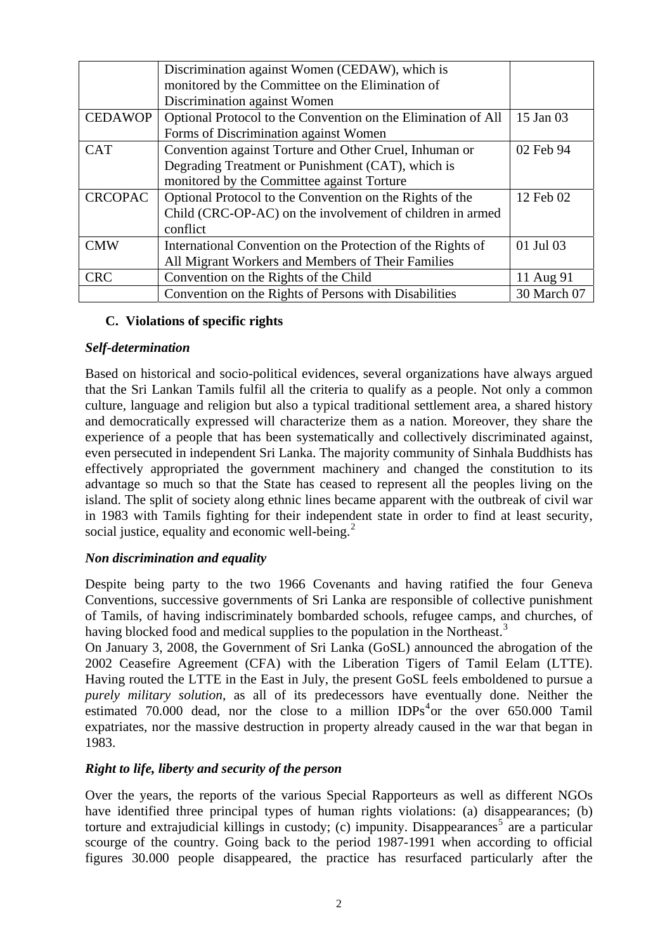|                | Discrimination against Women (CEDAW), which is                |             |
|----------------|---------------------------------------------------------------|-------------|
|                | monitored by the Committee on the Elimination of              |             |
|                | Discrimination against Women                                  |             |
| <b>CEDAWOP</b> | Optional Protocol to the Convention on the Elimination of All | 15 Jan 03   |
|                | Forms of Discrimination against Women                         |             |
| <b>CAT</b>     | Convention against Torture and Other Cruel, Inhuman or        | 02 Feb 94   |
|                | Degrading Treatment or Punishment (CAT), which is             |             |
|                | monitored by the Committee against Torture                    |             |
| <b>CRCOPAC</b> | Optional Protocol to the Convention on the Rights of the      | 12 Feb 02   |
|                | Child (CRC-OP-AC) on the involvement of children in armed     |             |
|                | conflict                                                      |             |
| <b>CMW</b>     | International Convention on the Protection of the Rights of   | 01 Jul 03   |
|                | All Migrant Workers and Members of Their Families             |             |
| <b>CRC</b>     | Convention on the Rights of the Child                         | 11 Aug 91   |
|                | Convention on the Rights of Persons with Disabilities         | 30 March 07 |

# **C. Violations of specific rights**

### *Self-determination*

Based on historical and socio-political evidences, several organizations have always argued that the Sri Lankan Tamils fulfil all the criteria to qualify as a people. Not only a common culture, language and religion but also a typical traditional settlement area, a shared history and democratically expressed will characterize them as a nation. Moreover, they share the experience of a people that has been systematically and collectively discriminated against, even persecuted in independent Sri Lanka. The majority community of Sinhala Buddhists has effectively appropriated the government machinery and changed the constitution to its advantage so much so that the State has ceased to represent all the peoples living on the island. The split of society along ethnic lines became apparent with the outbreak of civil war in 1983 with Tamils fighting for their independent state in order to find at least security, social justice, equality and economic well-being.<sup>[2](#page-21-1)</sup>

### *Non discrimination and equality*

Despite being party to the two 1966 Covenants and having ratified the four Geneva Conventions, successive governments of Sri Lanka are responsible of collective punishment of Tamils, of having indiscriminately bombarded schools, refugee camps, and churches, of having blocked food and medical supplies to the population in the Northeast.<sup>[3](#page-21-1)</sup>

On January 3, 2008, the Government of Sri Lanka (GoSL) announced the abrogation of the 2002 Ceasefire Agreement (CFA) with the Liberation Tigers of Tamil Eelam (LTTE). Having routed the LTTE in the East in July, the present GoSL feels emboldened to pursue a *purely military solution*, as all of its predecessors have eventually done. Neither the estimated 70.000 dead, nor the close to a million  $IDPs<sup>4</sup>$  $IDPs<sup>4</sup>$  $IDPs<sup>4</sup>$ or the over 650.000 Tamil expatriates, nor the massive destruction in property already caused in the war that began in 1983.

### *Right to life, liberty and security of the person*

Over the years, the reports of the various Special Rapporteurs as well as different NGOs have identified three principal types of human rights violations: (a) disappearances; (b) torture and extrajudicial killings in custody; (c) impunity. Disappearances<sup>[5](#page-21-1)</sup> are a particular scourge of the country. Going back to the period 1987-1991 when according to official figures 30.000 people disappeared, the practice has resurfaced particularly after the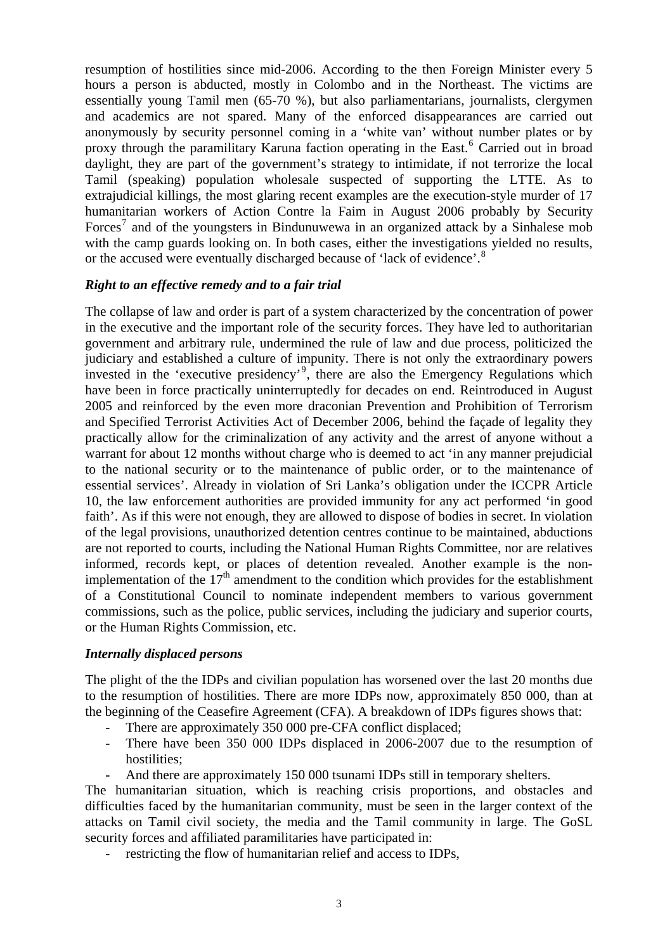resumption of hostilities since mid-2006. According to the then Foreign Minister every 5 hours a person is abducted, mostly in Colombo and in the Northeast. The victims are essentially young Tamil men (65-70 %), but also parliamentarians, journalists, clergymen and academics are not spared. Many of the enforced disappearances are carried out anonymously by security personnel coming in a 'white van' without number plates or by proxy through the paramilitary Karuna faction operating in the East.<sup>[6](#page-21-1)</sup> Carried out in broad daylight, they are part of the government's strategy to intimidate, if not terrorize the local Tamil (speaking) population wholesale suspected of supporting the LTTE. As to extrajudicial killings, the most glaring recent examples are the execution-style murder of 17 humanitarian workers of Action Contre la Faim in August 2006 probably by Security Forces<sup>[7](#page-21-1)</sup> and of the youngsters in Bindunuwewa in an organized attack by a Sinhalese mob with the camp guards looking on. In both cases, either the investigations yielded no results, or the accused were eventually discharged because of 'lack of evidence'.[8](#page-21-1)

### *Right to an effective remedy and to a fair trial*

The collapse of law and order is part of a system characterized by the concentration of power in the executive and the important role of the security forces. They have led to authoritarian government and arbitrary rule, undermined the rule of law and due process, politicized the judiciary and established a culture of impunity. There is not only the extraordinary powers invested in the 'executive presidency'<sup>[9](#page-21-1)</sup>, there are also the Emergency Regulations which have been in force practically uninterruptedly for decades on end. Reintroduced in August 2005 and reinforced by the even more draconian Prevention and Prohibition of Terrorism and Specified Terrorist Activities Act of December 2006, behind the façade of legality they practically allow for the criminalization of any activity and the arrest of anyone without a warrant for about 12 months without charge who is deemed to act 'in any manner prejudicial to the national security or to the maintenance of public order, or to the maintenance of essential services'. Already in violation of Sri Lanka's obligation under the ICCPR Article 10, the law enforcement authorities are provided immunity for any act performed 'in good faith'. As if this were not enough, they are allowed to dispose of bodies in secret. In violation of the legal provisions, unauthorized detention centres continue to be maintained, abductions are not reported to courts, including the National Human Rights Committee, nor are relatives informed, records kept, or places of detention revealed. Another example is the nonimplementation of the  $17<sup>th</sup>$  amendment to the condition which provides for the establishment of a Constitutional Council to nominate independent members to various government commissions, such as the police, public services, including the judiciary and superior courts, or the Human Rights Commission, etc.

#### *Internally displaced persons*

The plight of the the IDPs and civilian population has worsened over the last 20 months due to the resumption of hostilities. There are more IDPs now, approximately 850 000, than at the beginning of the Ceasefire Agreement (CFA). A breakdown of IDPs figures shows that:

- There are approximately 350 000 pre-CFA conflict displaced;
- There have been 350 000 IDPs displaced in 2006-2007 due to the resumption of hostilities;
- And there are approximately 150 000 tsunami IDPs still in temporary shelters.

The humanitarian situation, which is reaching crisis proportions, and obstacles and difficulties faced by the humanitarian community, must be seen in the larger context of the attacks on Tamil civil society, the media and the Tamil community in large. The GoSL security forces and affiliated paramilitaries have participated in:

restricting the flow of humanitarian relief and access to IDPs,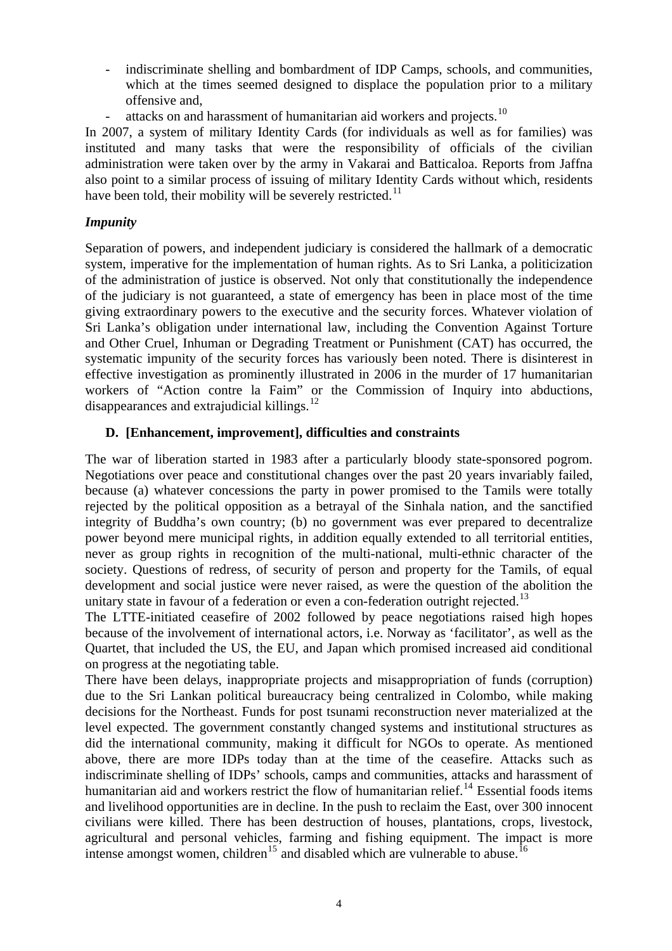- indiscriminate shelling and bombardment of IDP Camps, schools, and communities, which at the times seemed designed to displace the population prior to a military offensive and,
	- attacks on and harassment of humanitarian aid workers and projects.<sup>[10](#page-21-1)</sup>

In 2007, a system of military Identity Cards (for individuals as well as for families) was instituted and many tasks that were the responsibility of officials of the civilian administration were taken over by the army in Vakarai and Batticaloa. Reports from Jaffna also point to a similar process of issuing of military Identity Cards without which, residents have been told, their mobility will be severely restricted.<sup>[11](#page-21-1)</sup>

### *Impunity*

Separation of powers, and independent judiciary is considered the hallmark of a democratic system, imperative for the implementation of human rights. As to Sri Lanka, a politicization of the administration of justice is observed. Not only that constitutionally the independence of the judiciary is not guaranteed, a state of emergency has been in place most of the time giving extraordinary powers to the executive and the security forces. Whatever violation of Sri Lanka's obligation under international law, including the Convention Against Torture and Other Cruel, Inhuman or Degrading Treatment or Punishment (CAT) has occurred, the systematic impunity of the security forces has variously been noted. There is disinterest in effective investigation as prominently illustrated in 2006 in the murder of 17 humanitarian workers of "Action contre la Faim" or the Commission of Inquiry into abductions, disappearances and extrajudicial killings. $12$ 

# **D. [Enhancement, improvement], difficulties and constraints**

The war of liberation started in 1983 after a particularly bloody state-sponsored pogrom. Negotiations over peace and constitutional changes over the past 20 years invariably failed, because (a) whatever concessions the party in power promised to the Tamils were totally rejected by the political opposition as a betrayal of the Sinhala nation, and the sanctified integrity of Buddha's own country; (b) no government was ever prepared to decentralize power beyond mere municipal rights, in addition equally extended to all territorial entities, never as group rights in recognition of the multi-national, multi-ethnic character of the society. Questions of redress, of security of person and property for the Tamils, of equal development and social justice were never raised, as were the question of the abolition the unitary state in favour of a federation or even a con-federation outright rejected.<sup>[13](#page-21-1)</sup>

The LTTE-initiated ceasefire of 2002 followed by peace negotiations raised high hopes because of the involvement of international actors, i.e. Norway as 'facilitator', as well as the Quartet, that included the US, the EU, and Japan which promised increased aid conditional on progress at the negotiating table.

There have been delays, inappropriate projects and misappropriation of funds (corruption) due to the Sri Lankan political bureaucracy being centralized in Colombo, while making decisions for the Northeast. Funds for post tsunami reconstruction never materialized at the level expected. The government constantly changed systems and institutional structures as did the international community, making it difficult for NGOs to operate. As mentioned above, there are more IDPs today than at the time of the ceasefire. Attacks such as indiscriminate shelling of IDPs' schools, camps and communities, attacks and harassment of humanitarian aid and workers restrict the flow of humanitarian relief.<sup>[14](#page-21-1)</sup> Essential foods items and livelihood opportunities are in decline. In the push to reclaim the East, over 300 innocent civilians were killed. There has been destruction of houses, plantations, crops, livestock, agricultural and personal vehicles, farming and fishing equipment. The impact is more intense amongst women, children<sup>[15](#page-21-1)</sup> and disabled which are vulnerable to abuse.<sup>[16](#page-21-1)</sup>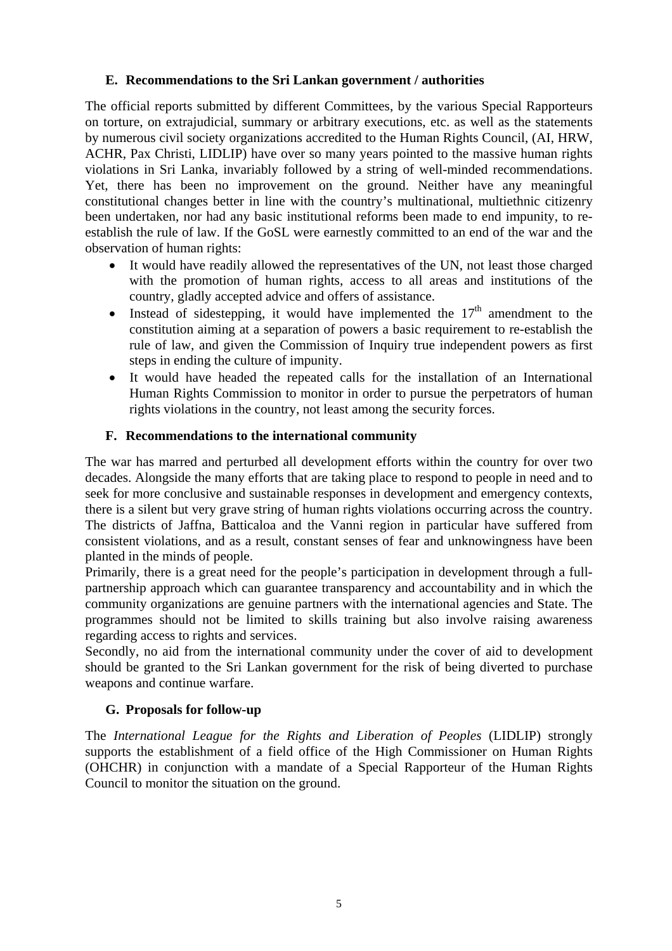# **E. Recommendations to the Sri Lankan government / authorities**

The official reports submitted by different Committees, by the various Special Rapporteurs on torture, on extrajudicial, summary or arbitrary executions, etc. as well as the statements by numerous civil society organizations accredited to the Human Rights Council, (AI, HRW, ACHR, Pax Christi, LIDLIP) have over so many years pointed to the massive human rights violations in Sri Lanka, invariably followed by a string of well-minded recommendations. Yet, there has been no improvement on the ground. Neither have any meaningful constitutional changes better in line with the country's multinational, multiethnic citizenry been undertaken, nor had any basic institutional reforms been made to end impunity, to reestablish the rule of law. If the GoSL were earnestly committed to an end of the war and the observation of human rights:

- It would have readily allowed the representatives of the UN, not least those charged with the promotion of human rights, access to all areas and institutions of the country, gladly accepted advice and offers of assistance.
- Instead of sidestepping, it would have implemented the  $17<sup>th</sup>$  amendment to the constitution aiming at a separation of powers a basic requirement to re-establish the rule of law, and given the Commission of Inquiry true independent powers as first steps in ending the culture of impunity.
- It would have headed the repeated calls for the installation of an International Human Rights Commission to monitor in order to pursue the perpetrators of human rights violations in the country, not least among the security forces.

# **F. Recommendations to the international community**

The war has marred and perturbed all development efforts within the country for over two decades. Alongside the many efforts that are taking place to respond to people in need and to seek for more conclusive and sustainable responses in development and emergency contexts, there is a silent but very grave string of human rights violations occurring across the country. The districts of Jaffna, Batticaloa and the Vanni region in particular have suffered from consistent violations, and as a result, constant senses of fear and unknowingness have been planted in the minds of people.

Primarily, there is a great need for the people's participation in development through a fullpartnership approach which can guarantee transparency and accountability and in which the community organizations are genuine partners with the international agencies and State. The programmes should not be limited to skills training but also involve raising awareness regarding access to rights and services.

Secondly, no aid from the international community under the cover of aid to development should be granted to the Sri Lankan government for the risk of being diverted to purchase weapons and continue warfare.

### **G. Proposals for follow-up**

The *International League for the Rights and Liberation of Peoples* (LIDLIP) strongly supports the establishment of a field office of the High Commissioner on Human Rights (OHCHR) in conjunction with a mandate of a Special Rapporteur of the Human Rights Council to monitor the situation on the ground.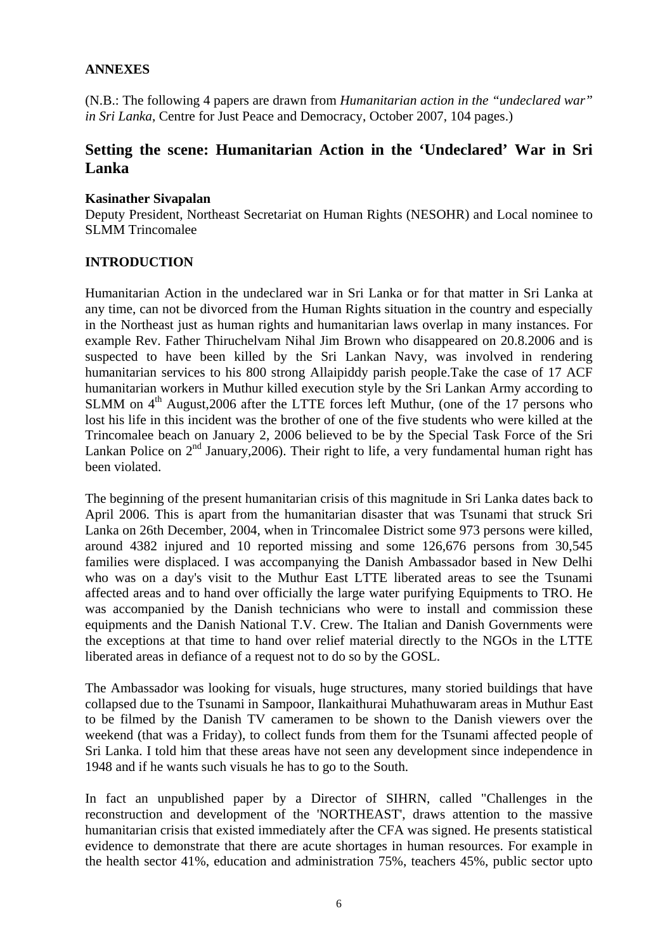# **ANNEXES**

(N.B.: The following 4 papers are drawn from *Humanitarian action in the "undeclared war" in Sri Lanka*, Centre for Just Peace and Democracy, October 2007, 104 pages.)

# **Setting the scene: Humanitarian Action in the 'Undeclared' War in Sri Lanka**

### **Kasinather Sivapalan**

Deputy President, Northeast Secretariat on Human Rights (NESOHR) and Local nominee to SLMM Trincomalee

### **INTRODUCTION**

Humanitarian Action in the undeclared war in Sri Lanka or for that matter in Sri Lanka at any time, can not be divorced from the Human Rights situation in the country and especially in the Northeast just as human rights and humanitarian laws overlap in many instances. For example Rev. Father Thiruchelvam Nihal Jim Brown who disappeared on 20.8.2006 and is suspected to have been killed by the Sri Lankan Navy, was involved in rendering humanitarian services to his 800 strong Allaipiddy parish people.Take the case of 17 ACF humanitarian workers in Muthur killed execution style by the Sri Lankan Army according to SLMM on  $4<sup>th</sup>$  August, 2006 after the LTTE forces left Muthur, (one of the 17 persons who lost his life in this incident was the brother of one of the five students who were killed at the Trincomalee beach on January 2, 2006 believed to be by the Special Task Force of the Sri Lankan Police on  $2<sup>nd</sup>$  January, 2006). Their right to life, a very fundamental human right has been violated.

The beginning of the present humanitarian crisis of this magnitude in Sri Lanka dates back to April 2006. This is apart from the humanitarian disaster that was Tsunami that struck Sri Lanka on 26th December, 2004, when in Trincomalee District some 973 persons were killed, around 4382 injured and 10 reported missing and some 126,676 persons from 30,545 families were displaced. I was accompanying the Danish Ambassador based in New Delhi who was on a day's visit to the Muthur East LTTE liberated areas to see the Tsunami affected areas and to hand over officially the large water purifying Equipments to TRO. He was accompanied by the Danish technicians who were to install and commission these equipments and the Danish National T.V. Crew. The Italian and Danish Governments were the exceptions at that time to hand over relief material directly to the NGOs in the LTTE liberated areas in defiance of a request not to do so by the GOSL.

The Ambassador was looking for visuals, huge structures, many storied buildings that have collapsed due to the Tsunami in Sampoor, Ilankaithurai Muhathuwaram areas in Muthur East to be filmed by the Danish TV cameramen to be shown to the Danish viewers over the weekend (that was a Friday), to collect funds from them for the Tsunami affected people of Sri Lanka. I told him that these areas have not seen any development since independence in 1948 and if he wants such visuals he has to go to the South.

In fact an unpublished paper by a Director of SIHRN, called "Challenges in the reconstruction and development of the 'NORTHEAST', draws attention to the massive humanitarian crisis that existed immediately after the CFA was signed. He presents statistical evidence to demonstrate that there are acute shortages in human resources. For example in the health sector 41%, education and administration 75%, teachers 45%, public sector upto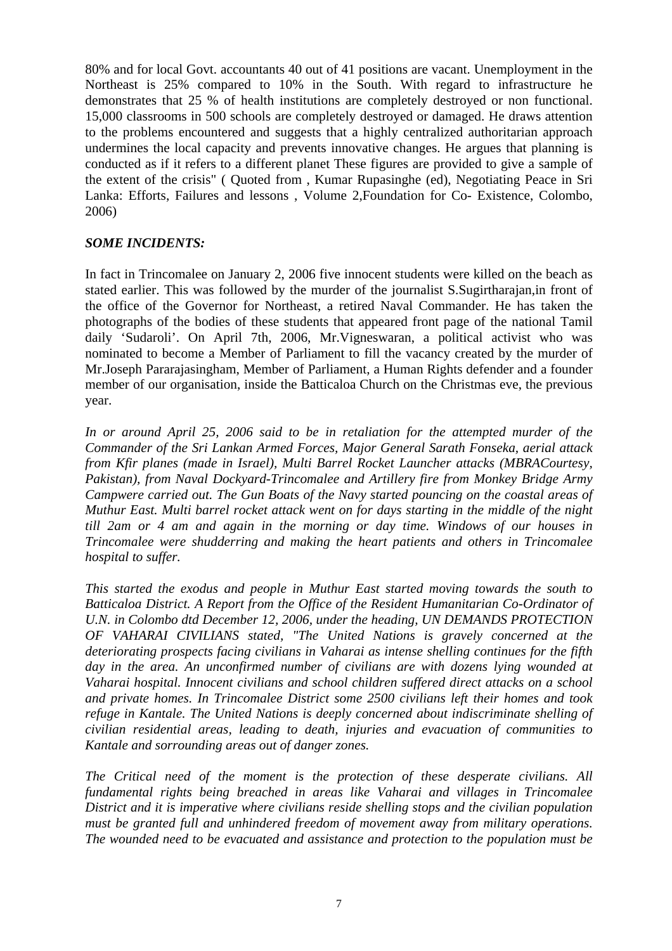80% and for local Govt. accountants 40 out of 41 positions are vacant. Unemployment in the Northeast is 25% compared to 10% in the South. With regard to infrastructure he demonstrates that 25 % of health institutions are completely destroyed or non functional. 15,000 classrooms in 500 schools are completely destroyed or damaged. He draws attention to the problems encountered and suggests that a highly centralized authoritarian approach undermines the local capacity and prevents innovative changes. He argues that planning is conducted as if it refers to a different planet These figures are provided to give a sample of the extent of the crisis" ( Quoted from , Kumar Rupasinghe (ed), Negotiating Peace in Sri Lanka: Efforts, Failures and lessons , Volume 2,Foundation for Co- Existence, Colombo, 2006)

### *SOME INCIDENTS:*

In fact in Trincomalee on January 2, 2006 five innocent students were killed on the beach as stated earlier. This was followed by the murder of the journalist S.Sugirtharajan,in front of the office of the Governor for Northeast, a retired Naval Commander. He has taken the photographs of the bodies of these students that appeared front page of the national Tamil daily 'Sudaroli'. On April 7th, 2006, Mr.Vigneswaran, a political activist who was nominated to become a Member of Parliament to fill the vacancy created by the murder of Mr.Joseph Pararajasingham, Member of Parliament, a Human Rights defender and a founder member of our organisation, inside the Batticaloa Church on the Christmas eve, the previous year.

*In or around April 25, 2006 said to be in retaliation for the attempted murder of the Commander of the Sri Lankan Armed Forces, Major General Sarath Fonseka, aerial attack from Kfir planes (made in Israel), Multi Barrel Rocket Launcher attacks (MBRACourtesy, Pakistan), from Naval Dockyard-Trincomalee and Artillery fire from Monkey Bridge Army Campwere carried out. The Gun Boats of the Navy started pouncing on the coastal areas of Muthur East. Multi barrel rocket attack went on for days starting in the middle of the night till 2am or 4 am and again in the morning or day time. Windows of our houses in Trincomalee were shudderring and making the heart patients and others in Trincomalee hospital to suffer.* 

*This started the exodus and people in Muthur East started moving towards the south to Batticaloa District. A Report from the Office of the Resident Humanitarian Co-Ordinator of U.N. in Colombo dtd December 12, 2006, under the heading, UN DEMANDS PROTECTION OF VAHARAI CIVILIANS stated, "The United Nations is gravely concerned at the deteriorating prospects facing civilians in Vaharai as intense shelling continues for the fifth day in the area. An unconfirmed number of civilians are with dozens lying wounded at Vaharai hospital. Innocent civilians and school children suffered direct attacks on a school and private homes. In Trincomalee District some 2500 civilians left their homes and took refuge in Kantale. The United Nations is deeply concerned about indiscriminate shelling of civilian residential areas, leading to death, injuries and evacuation of communities to Kantale and sorrounding areas out of danger zones.* 

*The Critical need of the moment is the protection of these desperate civilians. All fundamental rights being breached in areas like Vaharai and villages in Trincomalee District and it is imperative where civilians reside shelling stops and the civilian population must be granted full and unhindered freedom of movement away from military operations. The wounded need to be evacuated and assistance and protection to the population must be*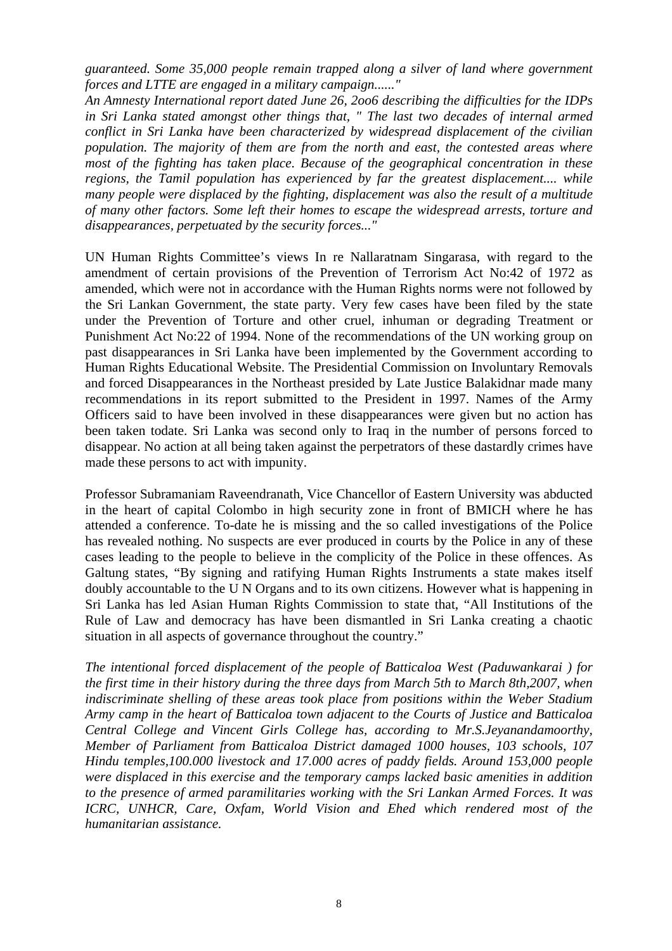*guaranteed. Some 35,000 people remain trapped along a silver of land where government forces and LTTE are engaged in a military campaign......"* 

*An Amnesty International report dated June 26, 2oo6 describing the difficulties for the IDPs in Sri Lanka stated amongst other things that, " The last two decades of internal armed conflict in Sri Lanka have been characterized by widespread displacement of the civilian population. The majority of them are from the north and east, the contested areas where most of the fighting has taken place. Because of the geographical concentration in these regions, the Tamil population has experienced by far the greatest displacement.... while many people were displaced by the fighting, displacement was also the result of a multitude of many other factors. Some left their homes to escape the widespread arrests, torture and disappearances, perpetuated by the security forces..."* 

UN Human Rights Committee's views In re Nallaratnam Singarasa, with regard to the amendment of certain provisions of the Prevention of Terrorism Act No:42 of 1972 as amended, which were not in accordance with the Human Rights norms were not followed by the Sri Lankan Government, the state party. Very few cases have been filed by the state under the Prevention of Torture and other cruel, inhuman or degrading Treatment or Punishment Act No:22 of 1994. None of the recommendations of the UN working group on past disappearances in Sri Lanka have been implemented by the Government according to Human Rights Educational Website. The Presidential Commission on Involuntary Removals and forced Disappearances in the Northeast presided by Late Justice Balakidnar made many recommendations in its report submitted to the President in 1997. Names of the Army Officers said to have been involved in these disappearances were given but no action has been taken todate. Sri Lanka was second only to Iraq in the number of persons forced to disappear. No action at all being taken against the perpetrators of these dastardly crimes have made these persons to act with impunity.

Professor Subramaniam Raveendranath, Vice Chancellor of Eastern University was abducted in the heart of capital Colombo in high security zone in front of BMICH where he has attended a conference. To-date he is missing and the so called investigations of the Police has revealed nothing. No suspects are ever produced in courts by the Police in any of these cases leading to the people to believe in the complicity of the Police in these offences. As Galtung states, "By signing and ratifying Human Rights Instruments a state makes itself doubly accountable to the U N Organs and to its own citizens. However what is happening in Sri Lanka has led Asian Human Rights Commission to state that, "All Institutions of the Rule of Law and democracy has have been dismantled in Sri Lanka creating a chaotic situation in all aspects of governance throughout the country."

*The intentional forced displacement of the people of Batticaloa West (Paduwankarai ) for the first time in their history during the three days from March 5th to March 8th,2007, when indiscriminate shelling of these areas took place from positions within the Weber Stadium Army camp in the heart of Batticaloa town adjacent to the Courts of Justice and Batticaloa Central College and Vincent Girls College has, according to Mr.S.Jeyanandamoorthy, Member of Parliament from Batticaloa District damaged 1000 houses, 103 schools, 107 Hindu temples,100.000 livestock and 17.000 acres of paddy fields. Around 153,000 people were displaced in this exercise and the temporary camps lacked basic amenities in addition to the presence of armed paramilitaries working with the Sri Lankan Armed Forces. It was ICRC, UNHCR, Care, Oxfam, World Vision and Ehed which rendered most of the humanitarian assistance.*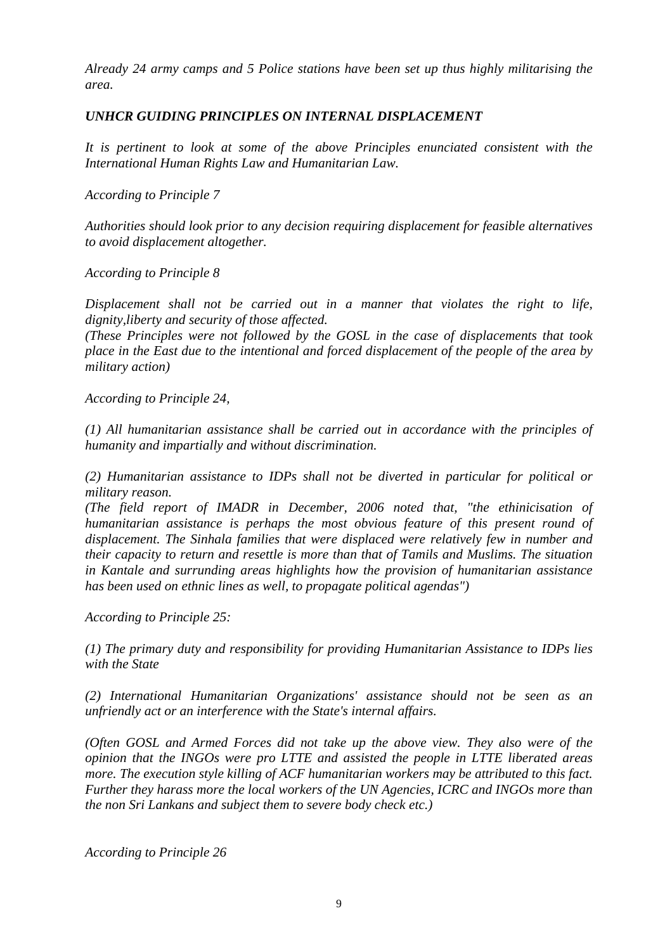*Already 24 army camps and 5 Police stations have been set up thus highly militarising the area.* 

# *UNHCR GUIDING PRINCIPLES ON INTERNAL DISPLACEMENT*

*It is pertinent to look at some of the above Principles enunciated consistent with the International Human Rights Law and Humanitarian Law.* 

*According to Principle 7* 

*Authorities should look prior to any decision requiring displacement for feasible alternatives to avoid displacement altogether.* 

*According to Principle 8* 

*Displacement shall not be carried out in a manner that violates the right to life, dignity,liberty and security of those affected.* 

*(These Principles were not followed by the GOSL in the case of displacements that took place in the East due to the intentional and forced displacement of the people of the area by military action)* 

*According to Principle 24,* 

*(1) All humanitarian assistance shall be carried out in accordance with the principles of humanity and impartially and without discrimination.* 

*(2) Humanitarian assistance to IDPs shall not be diverted in particular for political or military reason.* 

*(The field report of IMADR in December, 2006 noted that, "the ethinicisation of humanitarian assistance is perhaps the most obvious feature of this present round of displacement. The Sinhala families that were displaced were relatively few in number and their capacity to return and resettle is more than that of Tamils and Muslims. The situation in Kantale and surrunding areas highlights how the provision of humanitarian assistance has been used on ethnic lines as well, to propagate political agendas")* 

*According to Principle 25:* 

*(1) The primary duty and responsibility for providing Humanitarian Assistance to IDPs lies with the State* 

*(2) International Humanitarian Organizations' assistance should not be seen as an unfriendly act or an interference with the State's internal affairs.* 

*(Often GOSL and Armed Forces did not take up the above view. They also were of the opinion that the INGOs were pro LTTE and assisted the people in LTTE liberated areas more. The execution style killing of ACF humanitarian workers may be attributed to this fact. Further they harass more the local workers of the UN Agencies, ICRC and INGOs more than the non Sri Lankans and subject them to severe body check etc.)* 

*According to Principle 26*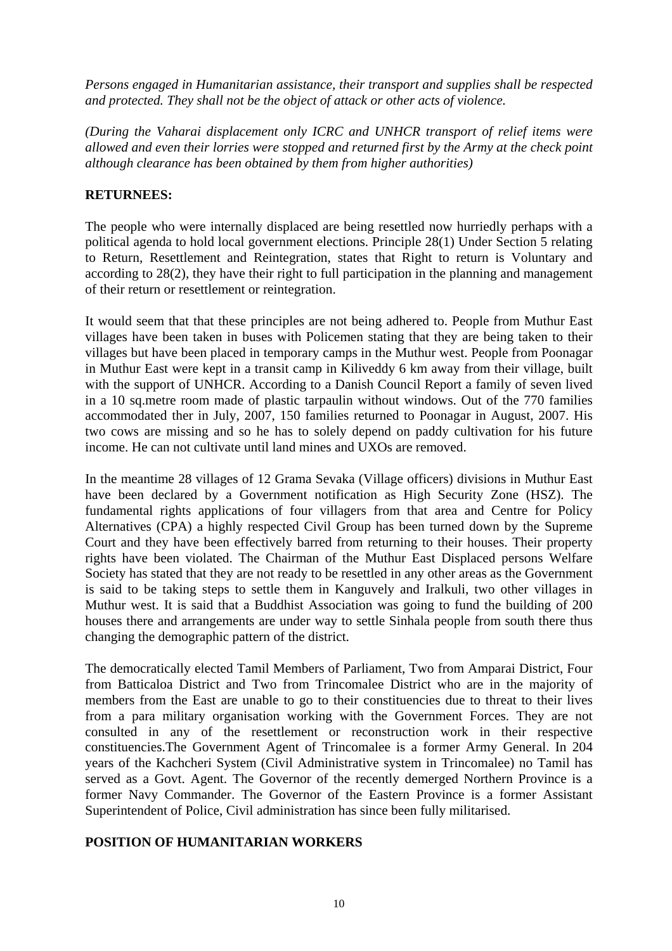*Persons engaged in Humanitarian assistance, their transport and supplies shall be respected and protected. They shall not be the object of attack or other acts of violence.* 

*(During the Vaharai displacement only ICRC and UNHCR transport of relief items were allowed and even their lorries were stopped and returned first by the Army at the check point although clearance has been obtained by them from higher authorities)* 

# **RETURNEES:**

The people who were internally displaced are being resettled now hurriedly perhaps with a political agenda to hold local government elections. Principle 28(1) Under Section 5 relating to Return, Resettlement and Reintegration, states that Right to return is Voluntary and according to 28(2), they have their right to full participation in the planning and management of their return or resettlement or reintegration.

It would seem that that these principles are not being adhered to. People from Muthur East villages have been taken in buses with Policemen stating that they are being taken to their villages but have been placed in temporary camps in the Muthur west. People from Poonagar in Muthur East were kept in a transit camp in Kiliveddy 6 km away from their village, built with the support of UNHCR. According to a Danish Council Report a family of seven lived in a 10 sq.metre room made of plastic tarpaulin without windows. Out of the 770 families accommodated ther in July, 2007, 150 families returned to Poonagar in August, 2007. His two cows are missing and so he has to solely depend on paddy cultivation for his future income. He can not cultivate until land mines and UXOs are removed.

In the meantime 28 villages of 12 Grama Sevaka (Village officers) divisions in Muthur East have been declared by a Government notification as High Security Zone (HSZ). The fundamental rights applications of four villagers from that area and Centre for Policy Alternatives (CPA) a highly respected Civil Group has been turned down by the Supreme Court and they have been effectively barred from returning to their houses. Their property rights have been violated. The Chairman of the Muthur East Displaced persons Welfare Society has stated that they are not ready to be resettled in any other areas as the Government is said to be taking steps to settle them in Kanguvely and Iralkuli, two other villages in Muthur west. It is said that a Buddhist Association was going to fund the building of 200 houses there and arrangements are under way to settle Sinhala people from south there thus changing the demographic pattern of the district.

The democratically elected Tamil Members of Parliament, Two from Amparai District, Four from Batticaloa District and Two from Trincomalee District who are in the majority of members from the East are unable to go to their constituencies due to threat to their lives from a para military organisation working with the Government Forces. They are not consulted in any of the resettlement or reconstruction work in their respective constituencies.The Government Agent of Trincomalee is a former Army General. In 204 years of the Kachcheri System (Civil Administrative system in Trincomalee) no Tamil has served as a Govt. Agent. The Governor of the recently demerged Northern Province is a former Navy Commander. The Governor of the Eastern Province is a former Assistant Superintendent of Police, Civil administration has since been fully militarised.

### **POSITION OF HUMANITARIAN WORKERS**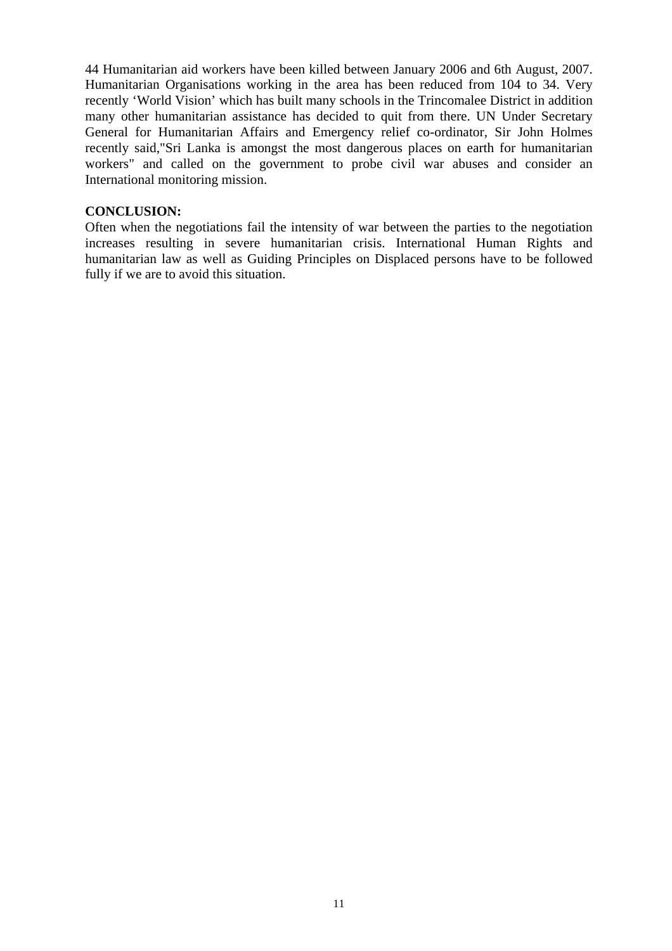44 Humanitarian aid workers have been killed between January 2006 and 6th August, 2007. Humanitarian Organisations working in the area has been reduced from 104 to 34. Very recently 'World Vision' which has built many schools in the Trincomalee District in addition many other humanitarian assistance has decided to quit from there. UN Under Secretary General for Humanitarian Affairs and Emergency relief co-ordinator, Sir John Holmes recently said,"Sri Lanka is amongst the most dangerous places on earth for humanitarian workers" and called on the government to probe civil war abuses and consider an International monitoring mission.

#### **CONCLUSION:**

Often when the negotiations fail the intensity of war between the parties to the negotiation increases resulting in severe humanitarian crisis. International Human Rights and humanitarian law as well as Guiding Principles on Displaced persons have to be followed fully if we are to avoid this situation.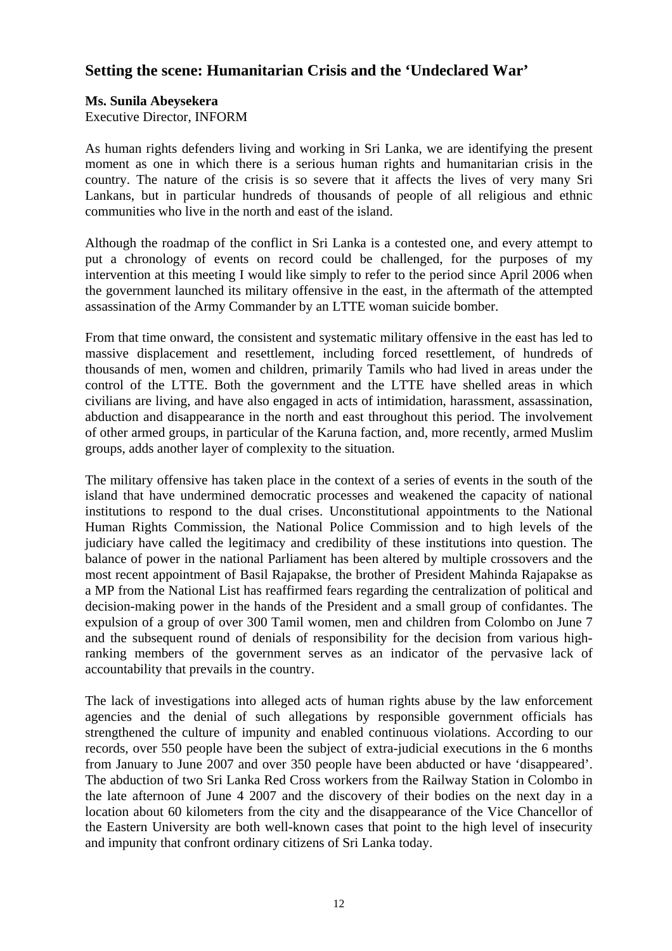# **Setting the scene: Humanitarian Crisis and the 'Undeclared War'**

# **Ms. Sunila Abeysekera**

Executive Director, INFORM

As human rights defenders living and working in Sri Lanka, we are identifying the present moment as one in which there is a serious human rights and humanitarian crisis in the country. The nature of the crisis is so severe that it affects the lives of very many Sri Lankans, but in particular hundreds of thousands of people of all religious and ethnic communities who live in the north and east of the island.

Although the roadmap of the conflict in Sri Lanka is a contested one, and every attempt to put a chronology of events on record could be challenged, for the purposes of my intervention at this meeting I would like simply to refer to the period since April 2006 when the government launched its military offensive in the east, in the aftermath of the attempted assassination of the Army Commander by an LTTE woman suicide bomber.

From that time onward, the consistent and systematic military offensive in the east has led to massive displacement and resettlement, including forced resettlement, of hundreds of thousands of men, women and children, primarily Tamils who had lived in areas under the control of the LTTE. Both the government and the LTTE have shelled areas in which civilians are living, and have also engaged in acts of intimidation, harassment, assassination, abduction and disappearance in the north and east throughout this period. The involvement of other armed groups, in particular of the Karuna faction, and, more recently, armed Muslim groups, adds another layer of complexity to the situation.

The military offensive has taken place in the context of a series of events in the south of the island that have undermined democratic processes and weakened the capacity of national institutions to respond to the dual crises. Unconstitutional appointments to the National Human Rights Commission, the National Police Commission and to high levels of the judiciary have called the legitimacy and credibility of these institutions into question. The balance of power in the national Parliament has been altered by multiple crossovers and the most recent appointment of Basil Rajapakse, the brother of President Mahinda Rajapakse as a MP from the National List has reaffirmed fears regarding the centralization of political and decision-making power in the hands of the President and a small group of confidantes. The expulsion of a group of over 300 Tamil women, men and children from Colombo on June 7 and the subsequent round of denials of responsibility for the decision from various highranking members of the government serves as an indicator of the pervasive lack of accountability that prevails in the country.

The lack of investigations into alleged acts of human rights abuse by the law enforcement agencies and the denial of such allegations by responsible government officials has strengthened the culture of impunity and enabled continuous violations. According to our records, over 550 people have been the subject of extra-judicial executions in the 6 months from January to June 2007 and over 350 people have been abducted or have 'disappeared'. The abduction of two Sri Lanka Red Cross workers from the Railway Station in Colombo in the late afternoon of June 4 2007 and the discovery of their bodies on the next day in a location about 60 kilometers from the city and the disappearance of the Vice Chancellor of the Eastern University are both well-known cases that point to the high level of insecurity and impunity that confront ordinary citizens of Sri Lanka today.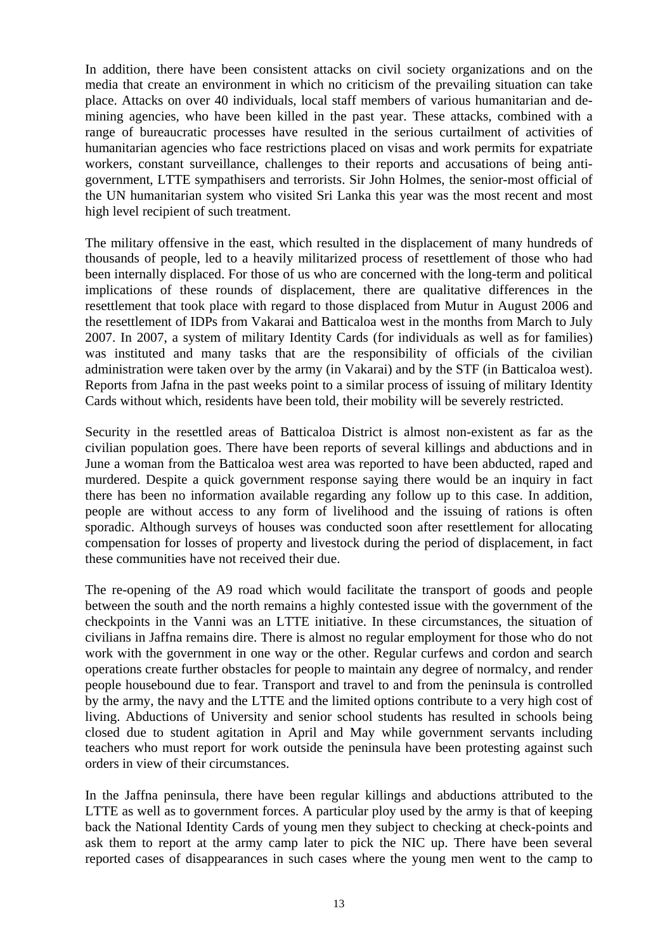In addition, there have been consistent attacks on civil society organizations and on the media that create an environment in which no criticism of the prevailing situation can take place. Attacks on over 40 individuals, local staff members of various humanitarian and demining agencies, who have been killed in the past year. These attacks, combined with a range of bureaucratic processes have resulted in the serious curtailment of activities of humanitarian agencies who face restrictions placed on visas and work permits for expatriate workers, constant surveillance, challenges to their reports and accusations of being antigovernment, LTTE sympathisers and terrorists. Sir John Holmes, the senior-most official of the UN humanitarian system who visited Sri Lanka this year was the most recent and most high level recipient of such treatment.

The military offensive in the east, which resulted in the displacement of many hundreds of thousands of people, led to a heavily militarized process of resettlement of those who had been internally displaced. For those of us who are concerned with the long-term and political implications of these rounds of displacement, there are qualitative differences in the resettlement that took place with regard to those displaced from Mutur in August 2006 and the resettlement of IDPs from Vakarai and Batticaloa west in the months from March to July 2007. In 2007, a system of military Identity Cards (for individuals as well as for families) was instituted and many tasks that are the responsibility of officials of the civilian administration were taken over by the army (in Vakarai) and by the STF (in Batticaloa west). Reports from Jafna in the past weeks point to a similar process of issuing of military Identity Cards without which, residents have been told, their mobility will be severely restricted.

Security in the resettled areas of Batticaloa District is almost non-existent as far as the civilian population goes. There have been reports of several killings and abductions and in June a woman from the Batticaloa west area was reported to have been abducted, raped and murdered. Despite a quick government response saying there would be an inquiry in fact there has been no information available regarding any follow up to this case. In addition, people are without access to any form of livelihood and the issuing of rations is often sporadic. Although surveys of houses was conducted soon after resettlement for allocating compensation for losses of property and livestock during the period of displacement, in fact these communities have not received their due.

The re-opening of the A9 road which would facilitate the transport of goods and people between the south and the north remains a highly contested issue with the government of the checkpoints in the Vanni was an LTTE initiative. In these circumstances, the situation of civilians in Jaffna remains dire. There is almost no regular employment for those who do not work with the government in one way or the other. Regular curfews and cordon and search operations create further obstacles for people to maintain any degree of normalcy, and render people housebound due to fear. Transport and travel to and from the peninsula is controlled by the army, the navy and the LTTE and the limited options contribute to a very high cost of living. Abductions of University and senior school students has resulted in schools being closed due to student agitation in April and May while government servants including teachers who must report for work outside the peninsula have been protesting against such orders in view of their circumstances.

In the Jaffna peninsula, there have been regular killings and abductions attributed to the LTTE as well as to government forces. A particular ploy used by the army is that of keeping back the National Identity Cards of young men they subject to checking at check-points and ask them to report at the army camp later to pick the NIC up. There have been several reported cases of disappearances in such cases where the young men went to the camp to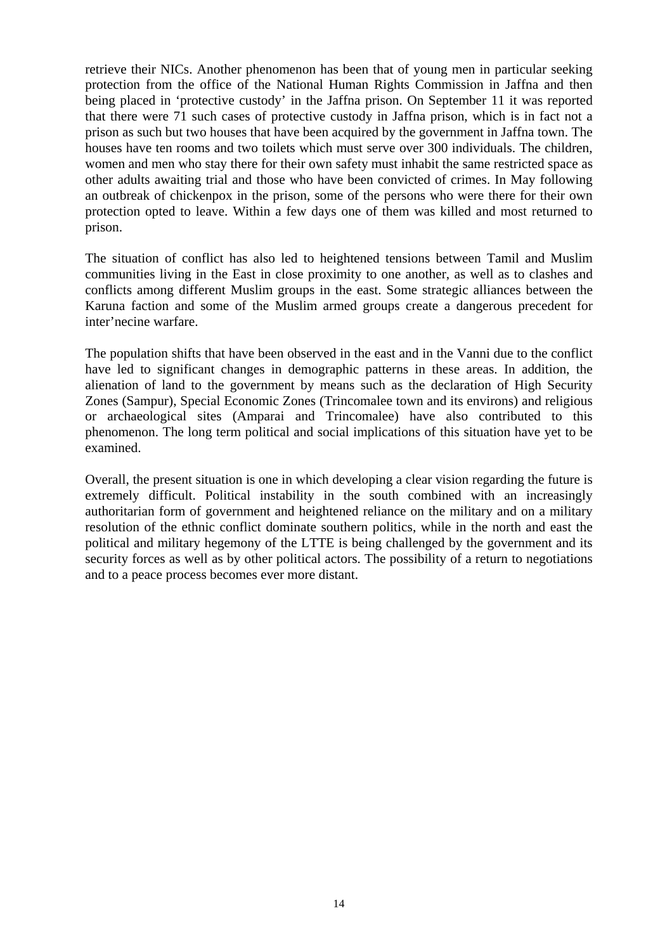retrieve their NICs. Another phenomenon has been that of young men in particular seeking protection from the office of the National Human Rights Commission in Jaffna and then being placed in 'protective custody' in the Jaffna prison. On September 11 it was reported that there were 71 such cases of protective custody in Jaffna prison, which is in fact not a prison as such but two houses that have been acquired by the government in Jaffna town. The houses have ten rooms and two toilets which must serve over 300 individuals. The children, women and men who stay there for their own safety must inhabit the same restricted space as other adults awaiting trial and those who have been convicted of crimes. In May following an outbreak of chickenpox in the prison, some of the persons who were there for their own protection opted to leave. Within a few days one of them was killed and most returned to prison.

The situation of conflict has also led to heightened tensions between Tamil and Muslim communities living in the East in close proximity to one another, as well as to clashes and conflicts among different Muslim groups in the east. Some strategic alliances between the Karuna faction and some of the Muslim armed groups create a dangerous precedent for inter'necine warfare.

The population shifts that have been observed in the east and in the Vanni due to the conflict have led to significant changes in demographic patterns in these areas. In addition, the alienation of land to the government by means such as the declaration of High Security Zones (Sampur), Special Economic Zones (Trincomalee town and its environs) and religious or archaeological sites (Amparai and Trincomalee) have also contributed to this phenomenon. The long term political and social implications of this situation have yet to be examined.

Overall, the present situation is one in which developing a clear vision regarding the future is extremely difficult. Political instability in the south combined with an increasingly authoritarian form of government and heightened reliance on the military and on a military resolution of the ethnic conflict dominate southern politics, while in the north and east the political and military hegemony of the LTTE is being challenged by the government and its security forces as well as by other political actors. The possibility of a return to negotiations and to a peace process becomes ever more distant.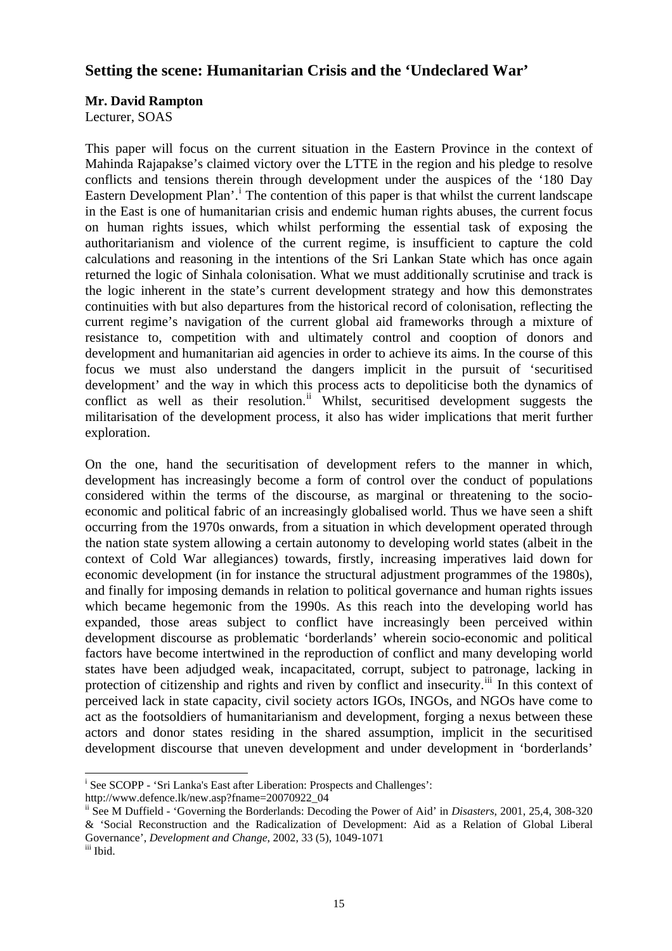# **Setting the scene: Humanitarian Crisis and the 'Undeclared War'**

# **Mr. David Rampton**

Lecturer, SOAS

This paper will focus on the current situation in the Eastern Province in the context of Mahinda Rajapakse's claimed victory over the LTTE in the region and his pledge to resolve conflicts and tensions therein through development under the auspices of the '180 Day Eastern Development Plan'.<sup>[i](#page-14-0)</sup> The contention of this paper is that whilst the current landscape in the East is one of humanitarian crisis and endemic human rights abuses, the current focus on human rights issues, which whilst performing the essential task of exposing the authoritarianism and violence of the current regime, is insufficient to capture the cold calculations and reasoning in the intentions of the Sri Lankan State which has once again returned the logic of Sinhala colonisation. What we must additionally scrutinise and track is the logic inherent in the state's current development strategy and how this demonstrates continuities with but also departures from the historical record of colonisation, reflecting the current regime's navigation of the current global aid frameworks through a mixture of resistance to, competition with and ultimately control and cooption of donors and development and humanitarian aid agencies in order to achieve its aims. In the course of this focus we must also understand the dangers implicit in the pursuit of 'securitised development' and the way in which this process acts to depoliticise both the dynamics of conflict as well as their resolution. $\overrightarrow{ii}$  $\overrightarrow{ii}$  $\overrightarrow{ii}$  Whilst, securitised development suggests the militarisation of the development process, it also has wider implications that merit further exploration.

On the one, hand the securitisation of development refers to the manner in which, development has increasingly become a form of control over the conduct of populations considered within the terms of the discourse, as marginal or threatening to the socioeconomic and political fabric of an increasingly globalised world. Thus we have seen a shift occurring from the 1970s onwards, from a situation in which development operated through the nation state system allowing a certain autonomy to developing world states (albeit in the context of Cold War allegiances) towards, firstly, increasing imperatives laid down for economic development (in for instance the structural adjustment programmes of the 1980s), and finally for imposing demands in relation to political governance and human rights issues which became hegemonic from the 1990s. As this reach into the developing world has expanded, those areas subject to conflict have increasingly been perceived within development discourse as problematic 'borderlands' wherein socio-economic and political factors have become intertwined in the reproduction of conflict and many developing world states have been adjudged weak, incapacitated, corrupt, subject to patronage, lacking in protection of citizenship and rights and riven by conflict and insecurity.<sup>[iii](#page-14-2)</sup> In this context of perceived lack in state capacity, civil society actors IGOs, INGOs, and NGOs have come to act as the footsoldiers of humanitarianism and development, forging a nexus between these actors and donor states residing in the shared assumption, implicit in the securitised development discourse that uneven development and under development in 'borderlands'

 $\overline{a}$ <sup>i</sup> See SCOPP - 'Sri Lanka's East after Liberation: Prospects and Challenges':

<span id="page-14-0"></span>http://www.defence.lk/new.asp?fname=20070922\_04

<span id="page-14-1"></span>ii See M Duffield - 'Governing the Borderlands: Decoding the Power of Aid' in *Disasters*, 2001, 25,4, 308-320 & 'Social Reconstruction and the Radicalization of Development: Aid as a Relation of Global Liberal Governance', *Development and Change*, 2002, 33 (5), 1049-1071 iii Ibid.

<span id="page-14-2"></span>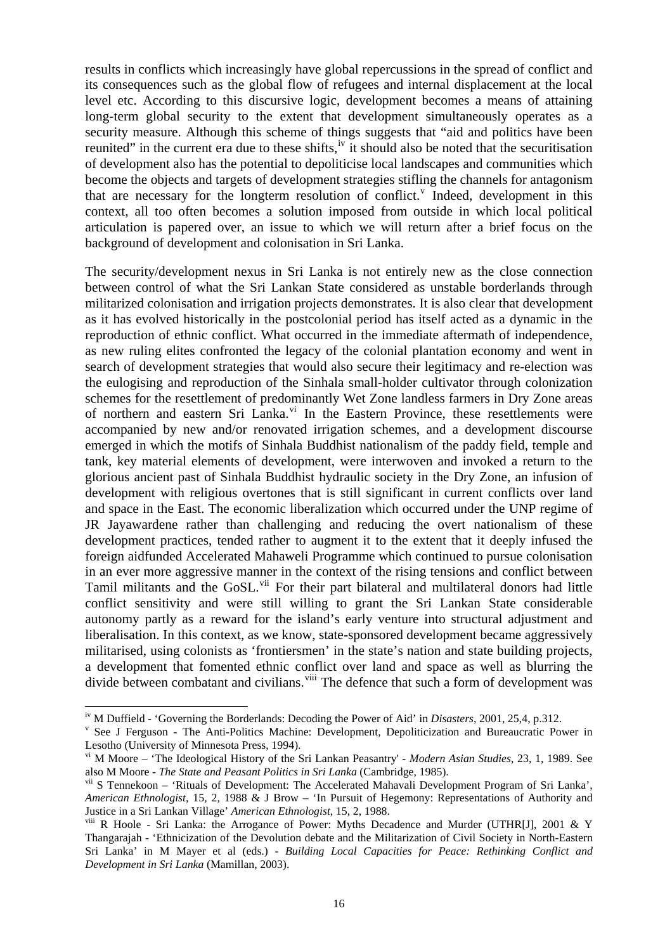results in conflicts which increasingly have global repercussions in the spread of conflict and its consequences such as the global flow of refugees and internal displacement at the local level etc. According to this discursive logic, development becomes a means of attaining long-term global security to the extent that development simultaneously operates as a security measure. Although this scheme of things suggests that "aid and politics have been reunited" in the current era due to these shifts,<sup>[iv](#page-15-0)</sup> it should also be noted that the securitisation of development also has the potential to depoliticise local landscapes and communities which become the objects and targets of development strategies stifling the channels for antagonism that are necessary for the longterm resolution of conflict.<sup>V</sup> Indeed, de[v](#page-15-1)elopment in this context, all too often becomes a solution imposed from outside in which local political articulation is papered over, an issue to which we will return after a brief focus on the background of development and colonisation in Sri Lanka.

The security/development nexus in Sri Lanka is not entirely new as the close connection between control of what the Sri Lankan State considered as unstable borderlands through militarized colonisation and irrigation projects demonstrates. It is also clear that development as it has evolved historically in the postcolonial period has itself acted as a dynamic in the reproduction of ethnic conflict. What occurred in the immediate aftermath of independence, as new ruling elites confronted the legacy of the colonial plantation economy and went in search of development strategies that would also secure their legitimacy and re-election was the eulogising and reproduction of the Sinhala small-holder cultivator through colonization schemes for the resettlement of predominantly Wet Zone landless farmers in Dry Zone areas of northern and eastern Sri Lanka.<sup>[vi](#page-15-2)</sup> In the Eastern Province, these resettlements were accompanied by new and/or renovated irrigation schemes, and a development discourse emerged in which the motifs of Sinhala Buddhist nationalism of the paddy field, temple and tank, key material elements of development, were interwoven and invoked a return to the glorious ancient past of Sinhala Buddhist hydraulic society in the Dry Zone, an infusion of development with religious overtones that is still significant in current conflicts over land and space in the East. The economic liberalization which occurred under the UNP regime of JR Jayawardene rather than challenging and reducing the overt nationalism of these development practices, tended rather to augment it to the extent that it deeply infused the foreign aidfunded Accelerated Mahaweli Programme which continued to pursue colonisation in an ever more aggressive manner in the context of the rising tensions and conflict between Tamil militants and the GoSL.<sup>[vii](#page-15-3)</sup> For their part bilateral and multilateral donors had little conflict sensitivity and were still willing to grant the Sri Lankan State considerable autonomy partly as a reward for the island's early venture into structural adjustment and liberalisation. In this context, as we know, state-sponsored development became aggressively militarised, using colonists as 'frontiersmen' in the state's nation and state building projects, a development that fomented ethnic conflict over land and space as well as blurring the divide between combatant and civilians.  $\frac{v}{v}$  The defence that such a form of development was

 $\overline{a}$ 

<span id="page-15-0"></span><sup>&</sup>lt;sup>iv</sup> M Duffield - 'Governing the Borderlands: Decoding the Power of Aid' in *Disasters*, 2001, 25,4, p.312.

<span id="page-15-1"></span><sup>&</sup>lt;sup>v</sup> See J Ferguson - The Anti-Politics Machine: Development, Depoliticization and Bureaucratic Power in Lesotho (University of Minnesota Press, 1994).

<span id="page-15-2"></span>vi M Moore – 'The Ideological History of the Sri Lankan Peasantry' - *Modern Asian Studies*, 23, 1, 1989. See also M Moore - *The State and Peasant Politics in Sri Lanka* (Cambridge, 1985).

<span id="page-15-3"></span>vii S Tennekoon – 'Rituals of Development: The Accelerated Mahavali Development Program of Sri Lanka', *American Ethnologist*, 15, 2, 1988 & J Brow – 'In Pursuit of Hegemony: Representations of Authority and Justice in a Sri Lankan Village' *American Ethnologist*, 15, 2, 1988.

<span id="page-15-4"></span>viii R Hoole - Sri Lanka: the Arrogance of Power: Myths Decadence and Murder (UTHR[J], 2001 & Y Thangarajah - 'Ethnicization of the Devolution debate and the Militarization of Civil Society in North-Eastern Sri Lanka' in M Mayer et al (eds.) - *Building Local Capacities for Peace: Rethinking Conflict and Development in Sri Lanka* (Mamillan, 2003).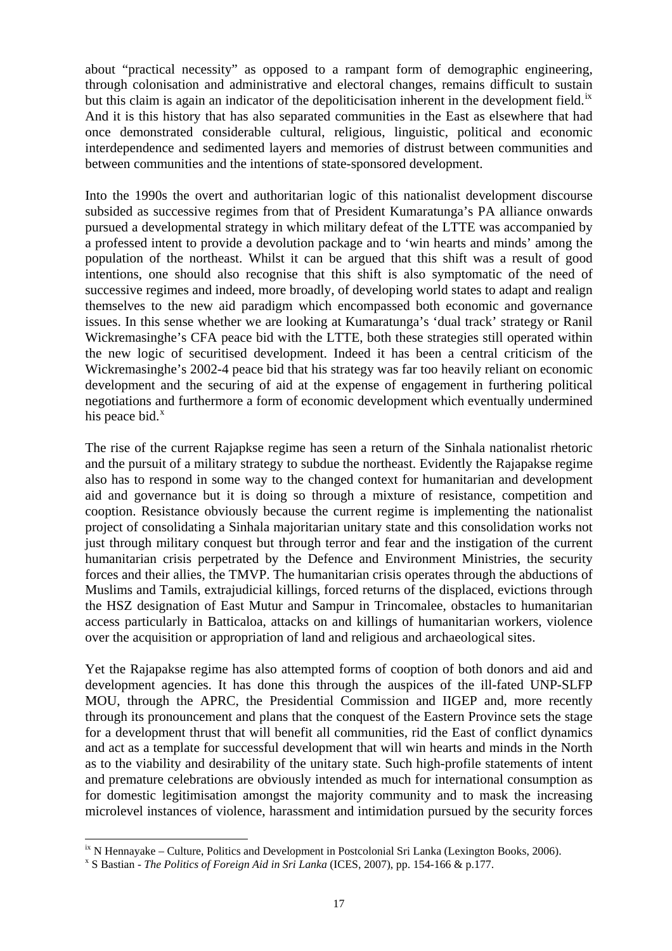about "practical necessity" as opposed to a rampant form of demographic engineering, through colonisation and administrative and electoral changes, remains difficult to sustain but this claim is again an indicator of the depoliticisation inherent in the development field.<sup>[ix](#page-16-0)</sup> And it is this history that has also separated communities in the East as elsewhere that had once demonstrated considerable cultural, religious, linguistic, political and economic interdependence and sedimented layers and memories of distrust between communities and between communities and the intentions of state-sponsored development.

Into the 1990s the overt and authoritarian logic of this nationalist development discourse subsided as successive regimes from that of President Kumaratunga's PA alliance onwards pursued a developmental strategy in which military defeat of the LTTE was accompanied by a professed intent to provide a devolution package and to 'win hearts and minds' among the population of the northeast. Whilst it can be argued that this shift was a result of good intentions, one should also recognise that this shift is also symptomatic of the need of successive regimes and indeed, more broadly, of developing world states to adapt and realign themselves to the new aid paradigm which encompassed both economic and governance issues. In this sense whether we are looking at Kumaratunga's 'dual track' strategy or Ranil Wickremasinghe's CFA peace bid with the LTTE, both these strategies still operated within the new logic of securitised development. Indeed it has been a central criticism of the Wickremasinghe's 2002-4 peace bid that his strategy was far too heavily reliant on economic development and the securing of aid at the expense of engagement in furthering political negotiations and furthermore a form of economic development which eventually undermined his peace bid. $^x$  $^x$ 

The rise of the current Rajapkse regime has seen a return of the Sinhala nationalist rhetoric and the pursuit of a military strategy to subdue the northeast. Evidently the Rajapakse regime also has to respond in some way to the changed context for humanitarian and development aid and governance but it is doing so through a mixture of resistance, competition and cooption. Resistance obviously because the current regime is implementing the nationalist project of consolidating a Sinhala majoritarian unitary state and this consolidation works not just through military conquest but through terror and fear and the instigation of the current humanitarian crisis perpetrated by the Defence and Environment Ministries, the security forces and their allies, the TMVP. The humanitarian crisis operates through the abductions of Muslims and Tamils, extrajudicial killings, forced returns of the displaced, evictions through the HSZ designation of East Mutur and Sampur in Trincomalee, obstacles to humanitarian access particularly in Batticaloa, attacks on and killings of humanitarian workers, violence over the acquisition or appropriation of land and religious and archaeological sites.

Yet the Rajapakse regime has also attempted forms of cooption of both donors and aid and development agencies. It has done this through the auspices of the ill-fated UNP-SLFP MOU, through the APRC, the Presidential Commission and IIGEP and, more recently through its pronouncement and plans that the conquest of the Eastern Province sets the stage for a development thrust that will benefit all communities, rid the East of conflict dynamics and act as a template for successful development that will win hearts and minds in the North as to the viability and desirability of the unitary state. Such high-profile statements of intent and premature celebrations are obviously intended as much for international consumption as for domestic legitimisation amongst the majority community and to mask the increasing microlevel instances of violence, harassment and intimidation pursued by the security forces

 $\overline{a}$ 

<span id="page-16-0"></span> $\mu$ <sup>ix</sup> N Hennayake – Culture, Politics and Development in Postcolonial Sri Lanka (Lexington Books, 2006).

<span id="page-16-1"></span>S Bastian - *The Politics of Foreign Aid in Sri Lanka* (ICES, 2007), pp. 154-166 & p.177.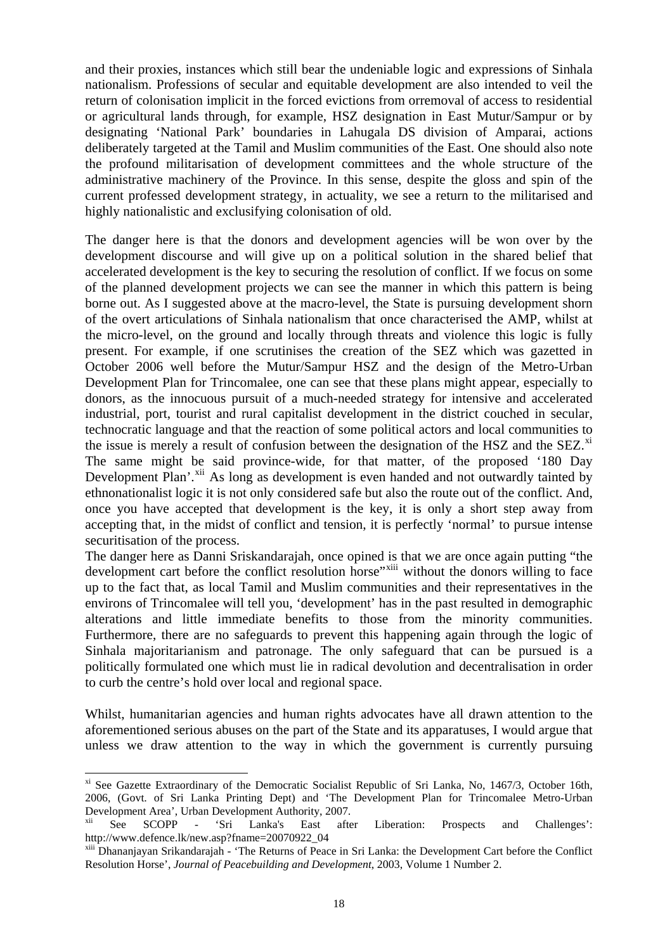and their proxies, instances which still bear the undeniable logic and expressions of Sinhala nationalism. Professions of secular and equitable development are also intended to veil the return of colonisation implicit in the forced evictions from orremoval of access to residential or agricultural lands through, for example, HSZ designation in East Mutur/Sampur or by designating 'National Park' boundaries in Lahugala DS division of Amparai, actions deliberately targeted at the Tamil and Muslim communities of the East. One should also note the profound militarisation of development committees and the whole structure of the administrative machinery of the Province. In this sense, despite the gloss and spin of the current professed development strategy, in actuality, we see a return to the militarised and highly nationalistic and exclusifying colonisation of old.

The danger here is that the donors and development agencies will be won over by the development discourse and will give up on a political solution in the shared belief that accelerated development is the key to securing the resolution of conflict. If we focus on some of the planned development projects we can see the manner in which this pattern is being borne out. As I suggested above at the macro-level, the State is pursuing development shorn of the overt articulations of Sinhala nationalism that once characterised the AMP, whilst at the micro-level, on the ground and locally through threats and violence this logic is fully present. For example, if one scrutinises the creation of the SEZ which was gazetted in October 2006 well before the Mutur/Sampur HSZ and the design of the Metro-Urban Development Plan for Trincomalee, one can see that these plans might appear, especially to donors, as the innocuous pursuit of a much-needed strategy for intensive and accelerated industrial, port, tourist and rural capitalist development in the district couched in secular, technocratic language and that the reaction of some political actors and local communities to the issue is merely a result of confusion between the designation of the HSZ and the SEZ. $^{x_1}$ The same might be said province-wide, for that matter, of the proposed '180 Day Development Plan'.<sup>[xii](#page-17-1)</sup> As long as development is even handed and not outwardly tainted by ethnonationalist logic it is not only considered safe but also the route out of the conflict. And, once you have accepted that development is the key, it is only a short step away from accepting that, in the midst of conflict and tension, it is perfectly 'normal' to pursue intense securitisation of the process.

The danger here as Danni Sriskandarajah, once opined is that we are once again putting "the development cart before the conflict resolution horse"<sup>[xiii](#page-17-2)</sup> without the donors willing to face up to the fact that, as local Tamil and Muslim communities and their representatives in the environs of Trincomalee will tell you, 'development' has in the past resulted in demographic alterations and little immediate benefits to those from the minority communities. Furthermore, there are no safeguards to prevent this happening again through the logic of Sinhala majoritarianism and patronage. The only safeguard that can be pursued is a politically formulated one which must lie in radical devolution and decentralisation in order to curb the centre's hold over local and regional space.

Whilst, humanitarian agencies and human rights advocates have all drawn attention to the aforementioned serious abuses on the part of the State and its apparatuses, I would argue that unless we draw attention to the way in which the government is currently pursuing

 $\overline{a}$ 

<span id="page-17-0"></span><sup>&</sup>lt;sup>xi</sup> See Gazette Extraordinary of the Democratic Socialist Republic of Sri Lanka, No, 1467/3, October 16th, 2006, (Govt. of Sri Lanka Printing Dept) and 'The Development Plan for Trincomalee Metro-Urban Development Area', Urban Development Authority, 2007.

<span id="page-17-1"></span>xii See SCOPP - 'Sri Lanka's East after Liberation: Prospects and Challenges': http://www.defence.lk/new.asp?fname=20070922\_04

<span id="page-17-2"></span>xiii Dhananjayan Srikandarajah - 'The Returns of Peace in Sri Lanka: the Development Cart before the Conflict Resolution Horse', *Journal of Peacebuilding and Development*, 2003, Volume 1 Number 2.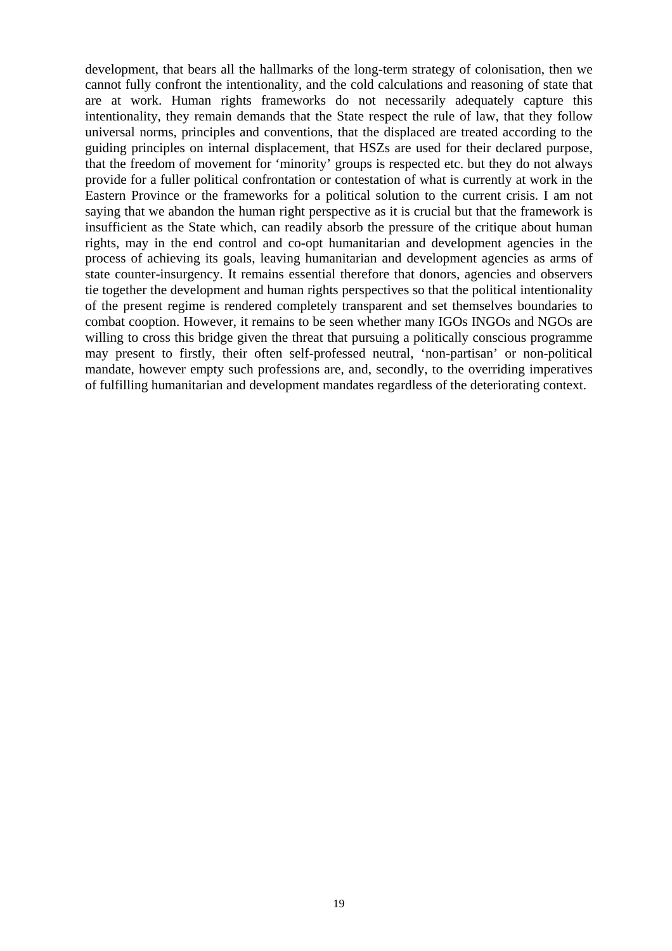development, that bears all the hallmarks of the long-term strategy of colonisation, then we cannot fully confront the intentionality, and the cold calculations and reasoning of state that are at work. Human rights frameworks do not necessarily adequately capture this intentionality, they remain demands that the State respect the rule of law, that they follow universal norms, principles and conventions, that the displaced are treated according to the guiding principles on internal displacement, that HSZs are used for their declared purpose, that the freedom of movement for 'minority' groups is respected etc. but they do not always provide for a fuller political confrontation or contestation of what is currently at work in the Eastern Province or the frameworks for a political solution to the current crisis. I am not saying that we abandon the human right perspective as it is crucial but that the framework is insufficient as the State which, can readily absorb the pressure of the critique about human rights, may in the end control and co-opt humanitarian and development agencies in the process of achieving its goals, leaving humanitarian and development agencies as arms of state counter-insurgency. It remains essential therefore that donors, agencies and observers tie together the development and human rights perspectives so that the political intentionality of the present regime is rendered completely transparent and set themselves boundaries to combat cooption. However, it remains to be seen whether many IGOs INGOs and NGOs are willing to cross this bridge given the threat that pursuing a politically conscious programme may present to firstly, their often self-professed neutral, 'non-partisan' or non-political mandate, however empty such professions are, and, secondly, to the overriding imperatives of fulfilling humanitarian and development mandates regardless of the deteriorating context.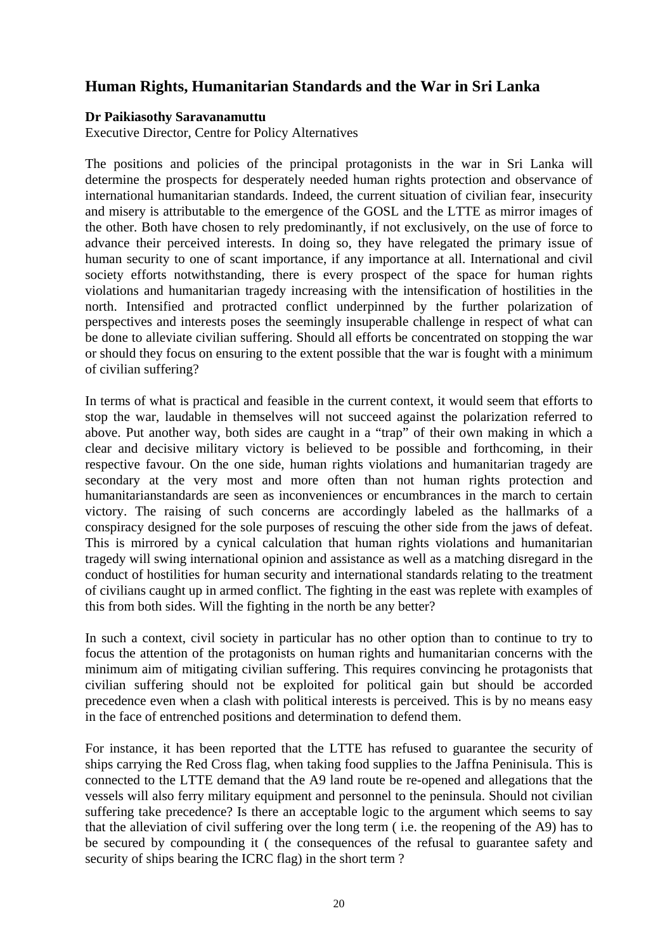# **Human Rights, Humanitarian Standards and the War in Sri Lanka**

### **Dr Paikiasothy Saravanamuttu**

Executive Director, Centre for Policy Alternatives

The positions and policies of the principal protagonists in the war in Sri Lanka will determine the prospects for desperately needed human rights protection and observance of international humanitarian standards. Indeed, the current situation of civilian fear, insecurity and misery is attributable to the emergence of the GOSL and the LTTE as mirror images of the other. Both have chosen to rely predominantly, if not exclusively, on the use of force to advance their perceived interests. In doing so, they have relegated the primary issue of human security to one of scant importance, if any importance at all. International and civil society efforts notwithstanding, there is every prospect of the space for human rights violations and humanitarian tragedy increasing with the intensification of hostilities in the north. Intensified and protracted conflict underpinned by the further polarization of perspectives and interests poses the seemingly insuperable challenge in respect of what can be done to alleviate civilian suffering. Should all efforts be concentrated on stopping the war or should they focus on ensuring to the extent possible that the war is fought with a minimum of civilian suffering?

In terms of what is practical and feasible in the current context, it would seem that efforts to stop the war, laudable in themselves will not succeed against the polarization referred to above. Put another way, both sides are caught in a "trap" of their own making in which a clear and decisive military victory is believed to be possible and forthcoming, in their respective favour. On the one side, human rights violations and humanitarian tragedy are secondary at the very most and more often than not human rights protection and humanitarianstandards are seen as inconveniences or encumbrances in the march to certain victory. The raising of such concerns are accordingly labeled as the hallmarks of a conspiracy designed for the sole purposes of rescuing the other side from the jaws of defeat. This is mirrored by a cynical calculation that human rights violations and humanitarian tragedy will swing international opinion and assistance as well as a matching disregard in the conduct of hostilities for human security and international standards relating to the treatment of civilians caught up in armed conflict. The fighting in the east was replete with examples of this from both sides. Will the fighting in the north be any better?

In such a context, civil society in particular has no other option than to continue to try to focus the attention of the protagonists on human rights and humanitarian concerns with the minimum aim of mitigating civilian suffering. This requires convincing he protagonists that civilian suffering should not be exploited for political gain but should be accorded precedence even when a clash with political interests is perceived. This is by no means easy in the face of entrenched positions and determination to defend them.

For instance, it has been reported that the LTTE has refused to guarantee the security of ships carrying the Red Cross flag, when taking food supplies to the Jaffna Peninisula. This is connected to the LTTE demand that the A9 land route be re-opened and allegations that the vessels will also ferry military equipment and personnel to the peninsula. Should not civilian suffering take precedence? Is there an acceptable logic to the argument which seems to say that the alleviation of civil suffering over the long term ( i.e. the reopening of the A9) has to be secured by compounding it ( the consequences of the refusal to guarantee safety and security of ships bearing the ICRC flag) in the short term ?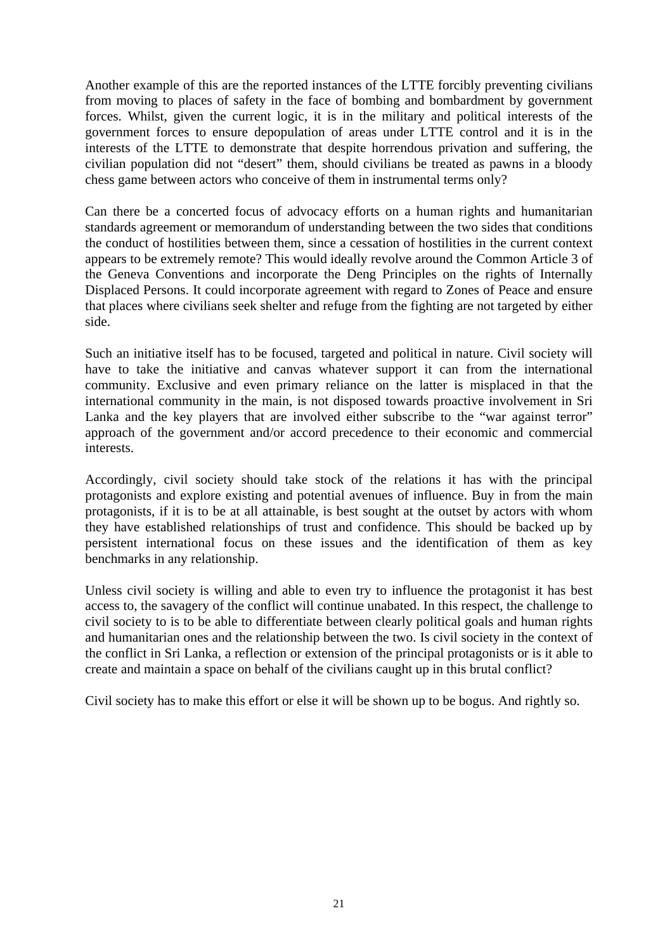Another example of this are the reported instances of the LTTE forcibly preventing civilians from moving to places of safety in the face of bombing and bombardment by government forces. Whilst, given the current logic, it is in the military and political interests of the government forces to ensure depopulation of areas under LTTE control and it is in the interests of the LTTE to demonstrate that despite horrendous privation and suffering, the civilian population did not "desert" them, should civilians be treated as pawns in a bloody chess game between actors who conceive of them in instrumental terms only?

Can there be a concerted focus of advocacy efforts on a human rights and humanitarian standards agreement or memorandum of understanding between the two sides that conditions the conduct of hostilities between them, since a cessation of hostilities in the current context appears to be extremely remote? This would ideally revolve around the Common Article 3 of the Geneva Conventions and incorporate the Deng Principles on the rights of Internally Displaced Persons. It could incorporate agreement with regard to Zones of Peace and ensure that places where civilians seek shelter and refuge from the fighting are not targeted by either side.

Such an initiative itself has to be focused, targeted and political in nature. Civil society will have to take the initiative and canvas whatever support it can from the international community. Exclusive and even primary reliance on the latter is misplaced in that the international community in the main, is not disposed towards proactive involvement in Sri Lanka and the key players that are involved either subscribe to the "war against terror" approach of the government and/or accord precedence to their economic and commercial interests.

Accordingly, civil society should take stock of the relations it has with the principal protagonists and explore existing and potential avenues of influence. Buy in from the main protagonists, if it is to be at all attainable, is best sought at the outset by actors with whom they have established relationships of trust and confidence. This should be backed up by persistent international focus on these issues and the identification of them as key benchmarks in any relationship.

Unless civil society is willing and able to even try to influence the protagonist it has best access to, the savagery of the conflict will continue unabated. In this respect, the challenge to civil society to is to be able to differentiate between clearly political goals and human rights and humanitarian ones and the relationship between the two. Is civil society in the context of the conflict in Sri Lanka, a reflection or extension of the principal protagonists or is it able to create and maintain a space on behalf of the civilians caught up in this brutal conflict?

Civil society has to make this effort or else it will be shown up to be bogus. And rightly so.